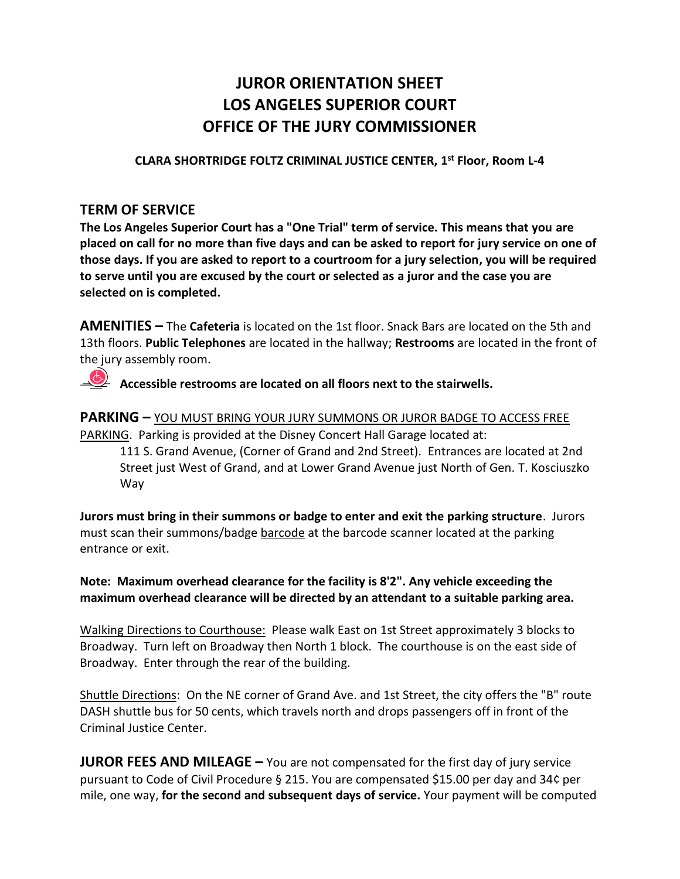# **JUROR ORIENTATION SHEET LOS ANGELES SUPERIOR COURT OFFICE OF THE JURY COMMISSIONER**

**CLARA SHORTRIDGE FOLTZ CRIMINAL JUSTICE CENTER, 1 st Floor, Room L-4**

#### **TERM OF SERVICE**

**The Los Angeles Superior Court has a "One Trial" term of service. This means that you are placed on call for no more than five days and can be asked to report for jury service on one of those days. If you are asked to report to a courtroom for a jury selection, you will be required to serve until you are excused by the court or selected as a juror and the case you are selected on is completed.** 

**AMENITIES –** The **Cafeteria** is located on the 1st floor. Snack Bars are located on the 5th and 13th floors. **Public Telephones** are located in the hallway; **Restrooms** are located in the front of the jury assembly room.

**Accessible restrooms are located on all floors next to the stairwells.** 

**PARKING –** YOU MUST BRING YOUR JURY SUMMONS OR JUROR BADGE TO ACCESS FREE PARKING. Parking is provided at the Disney Concert Hall Garage located at: 111 S. Grand Avenue, (Corner of Grand and 2nd Street). Entrances are located at 2nd Street just West of Grand, and at Lower Grand Avenue just North of Gen. T. Kosciuszko Way

**Jurors must bring in their summons or badge to enter and exit the parking structure**. Jurors must scan their summons/badge barcode at the barcode scanner located at the parking entrance or exit.

**Note: Maximum overhead clearance for the facility is 8'2". Any vehicle exceeding the maximum overhead clearance will be directed by an attendant to a suitable parking area.**

Walking Directions to Courthouse: Please walk East on 1st Street approximately 3 blocks to Broadway. Turn left on Broadway then North 1 block. The courthouse is on the east side of Broadway. Enter through the rear of the building.

Shuttle Directions: On the NE corner of Grand Ave. and 1st Street, the city offers the "B" route DASH shuttle bus for 50 cents, which travels north and drops passengers off in front of the Criminal Justice Center.

**JUROR FEES AND MILEAGE** – You are not compensated for the first day of jury service pursuant to Code of Civil Procedure § 215. You are compensated \$15.00 per day and 34¢ per mile, one way, **for the second and subsequent days of service.** Your payment will be computed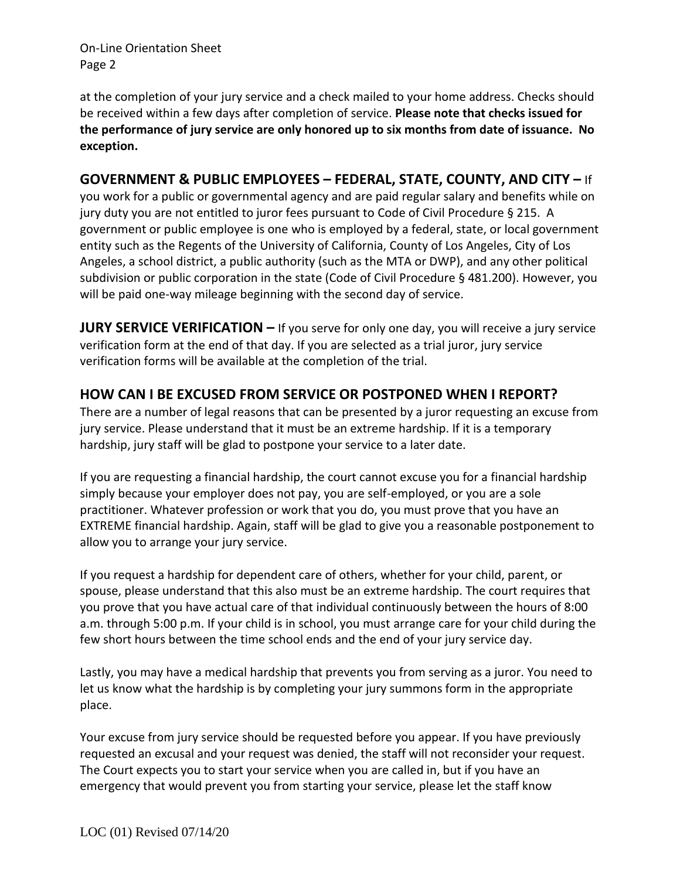On-Line Orientation Sheet Page 2

at the completion of your jury service and a check mailed to your home address. Checks should be received within a few days after completion of service. **Please note that checks issued for the performance of jury service are only honored up to six months from date of issuance. No exception.**

### **GOVERNMENT & PUBLIC EMPLOYEES – FEDERAL, STATE, COUNTY, AND CITY –** If

you work for a public or governmental agency and are paid regular salary and benefits while on jury duty you are not entitled to juror fees pursuant to Code of Civil Procedure § 215. A government or public employee is one who is employed by a federal, state, or local government entity such as the Regents of the University of California, County of Los Angeles, City of Los Angeles, a school district, a public authority (such as the MTA or DWP), and any other political subdivision or public corporation in the state (Code of Civil Procedure § 481.200). However, you will be paid one-way mileage beginning with the second day of service.

**JURY SERVICE VERIFICATION –** If you serve for only one day, you will receive a jury service verification form at the end of that day. If you are selected as a trial juror, jury service verification forms will be available at the completion of the trial.

## **HOW CAN I BE EXCUSED FROM SERVICE OR POSTPONED WHEN I REPORT?**

There are a number of legal reasons that can be presented by a juror requesting an excuse from jury service. Please understand that it must be an extreme hardship. If it is a temporary hardship, jury staff will be glad to postpone your service to a later date.

If you are requesting a financial hardship, the court cannot excuse you for a financial hardship simply because your employer does not pay, you are self-employed, or you are a sole practitioner. Whatever profession or work that you do, you must prove that you have an EXTREME financial hardship. Again, staff will be glad to give you a reasonable postponement to allow you to arrange your jury service.

If you request a hardship for dependent care of others, whether for your child, parent, or spouse, please understand that this also must be an extreme hardship. The court requires that you prove that you have actual care of that individual continuously between the hours of 8:00 a.m. through 5:00 p.m. If your child is in school, you must arrange care for your child during the few short hours between the time school ends and the end of your jury service day.

Lastly, you may have a medical hardship that prevents you from serving as a juror. You need to let us know what the hardship is by completing your jury summons form in the appropriate place.

Your excuse from jury service should be requested before you appear. If you have previously requested an excusal and your request was denied, the staff will not reconsider your request. The Court expects you to start your service when you are called in, but if you have an emergency that would prevent you from starting your service, please let the staff know